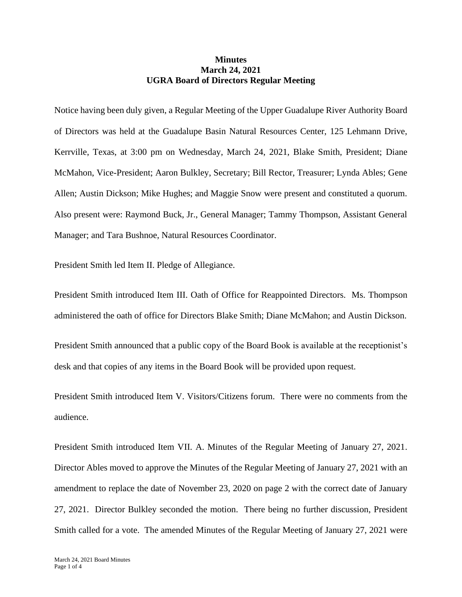## **Minutes March 24, 2021 UGRA Board of Directors Regular Meeting**

Notice having been duly given, a Regular Meeting of the Upper Guadalupe River Authority Board of Directors was held at the Guadalupe Basin Natural Resources Center, 125 Lehmann Drive, Kerrville, Texas, at 3:00 pm on Wednesday, March 24, 2021, Blake Smith, President; Diane McMahon, Vice-President; Aaron Bulkley, Secretary; Bill Rector, Treasurer; Lynda Ables; Gene Allen; Austin Dickson; Mike Hughes; and Maggie Snow were present and constituted a quorum. Also present were: Raymond Buck, Jr., General Manager; Tammy Thompson, Assistant General Manager; and Tara Bushnoe, Natural Resources Coordinator.

President Smith led Item II. Pledge of Allegiance.

President Smith introduced Item III. Oath of Office for Reappointed Directors. Ms. Thompson administered the oath of office for Directors Blake Smith; Diane McMahon; and Austin Dickson.

President Smith announced that a public copy of the Board Book is available at the receptionist's desk and that copies of any items in the Board Book will be provided upon request.

President Smith introduced Item V. Visitors/Citizens forum. There were no comments from the audience.

President Smith introduced Item VII. A. Minutes of the Regular Meeting of January 27, 2021. Director Ables moved to approve the Minutes of the Regular Meeting of January 27, 2021 with an amendment to replace the date of November 23, 2020 on page 2 with the correct date of January 27, 2021. Director Bulkley seconded the motion. There being no further discussion, President Smith called for a vote. The amended Minutes of the Regular Meeting of January 27, 2021 were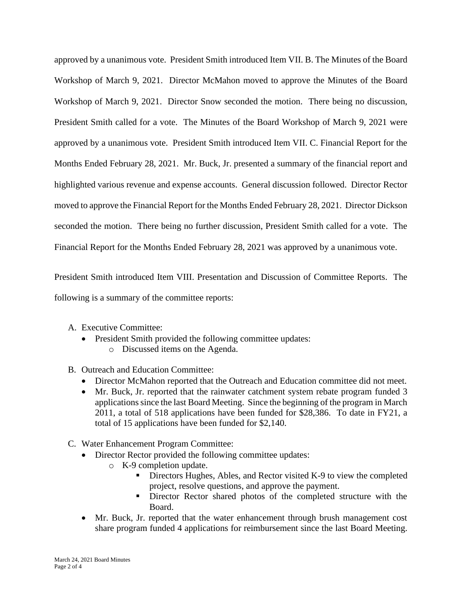approved by a unanimous vote. President Smith introduced Item VII. B. The Minutes of the Board Workshop of March 9, 2021. Director McMahon moved to approve the Minutes of the Board Workshop of March 9, 2021. Director Snow seconded the motion. There being no discussion, President Smith called for a vote. The Minutes of the Board Workshop of March 9, 2021 were approved by a unanimous vote. President Smith introduced Item VII. C. Financial Report for the Months Ended February 28, 2021. Mr. Buck, Jr. presented a summary of the financial report and highlighted various revenue and expense accounts. General discussion followed. Director Rector moved to approve the Financial Report for the Months Ended February 28, 2021. Director Dickson seconded the motion. There being no further discussion, President Smith called for a vote. The Financial Report for the Months Ended February 28, 2021 was approved by a unanimous vote.

President Smith introduced Item VIII. Presentation and Discussion of Committee Reports. The following is a summary of the committee reports:

- A. Executive Committee:
	- President Smith provided the following committee updates:
		- o Discussed items on the Agenda.
- B. Outreach and Education Committee:
	- Director McMahon reported that the Outreach and Education committee did not meet.
	- Mr. Buck, Jr. reported that the rainwater catchment system rebate program funded 3 applications since the last Board Meeting. Since the beginning of the program in March 2011, a total of 518 applications have been funded for \$28,386. To date in FY21, a total of 15 applications have been funded for \$2,140.
- C. Water Enhancement Program Committee:
	- Director Rector provided the following committee updates:
		- o K-9 completion update.
			- Directors Hughes, Ables, and Rector visited K-9 to view the completed project, resolve questions, and approve the payment.
			- **EXECT** Director Rector shared photos of the completed structure with the Board.
	- Mr. Buck, Jr. reported that the water enhancement through brush management cost share program funded 4 applications for reimbursement since the last Board Meeting.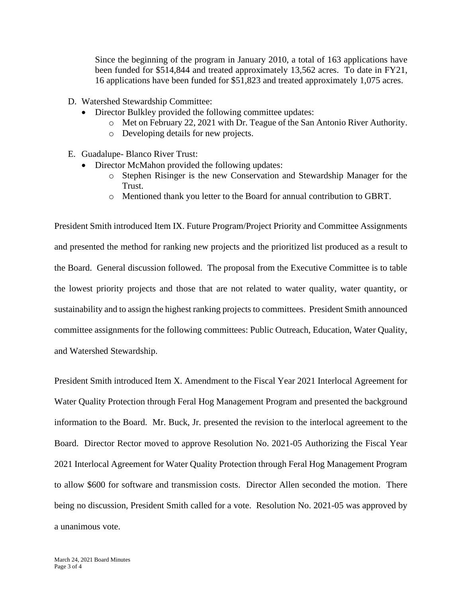Since the beginning of the program in January 2010, a total of 163 applications have been funded for \$514,844 and treated approximately 13,562 acres. To date in FY21, 16 applications have been funded for \$51,823 and treated approximately 1,075 acres.

- D. Watershed Stewardship Committee:
	- Director Bulkley provided the following committee updates:
		- o Met on February 22, 2021 with Dr. Teague of the San Antonio River Authority.
		- o Developing details for new projects.
- E. Guadalupe- Blanco River Trust:
	- Director McMahon provided the following updates:
		- o Stephen Risinger is the new Conservation and Stewardship Manager for the Trust.
		- o Mentioned thank you letter to the Board for annual contribution to GBRT.

President Smith introduced Item IX. Future Program/Project Priority and Committee Assignments and presented the method for ranking new projects and the prioritized list produced as a result to the Board. General discussion followed. The proposal from the Executive Committee is to table the lowest priority projects and those that are not related to water quality, water quantity, or sustainability and to assign the highest ranking projects to committees. President Smith announced committee assignments for the following committees: Public Outreach, Education, Water Quality, and Watershed Stewardship.

President Smith introduced Item X. Amendment to the Fiscal Year 2021 Interlocal Agreement for Water Quality Protection through Feral Hog Management Program and presented the background information to the Board. Mr. Buck, Jr. presented the revision to the interlocal agreement to the Board. Director Rector moved to approve Resolution No. 2021-05 Authorizing the Fiscal Year 2021 Interlocal Agreement for Water Quality Protection through Feral Hog Management Program to allow \$600 for software and transmission costs. Director Allen seconded the motion. There being no discussion, President Smith called for a vote. Resolution No. 2021-05 was approved by a unanimous vote.